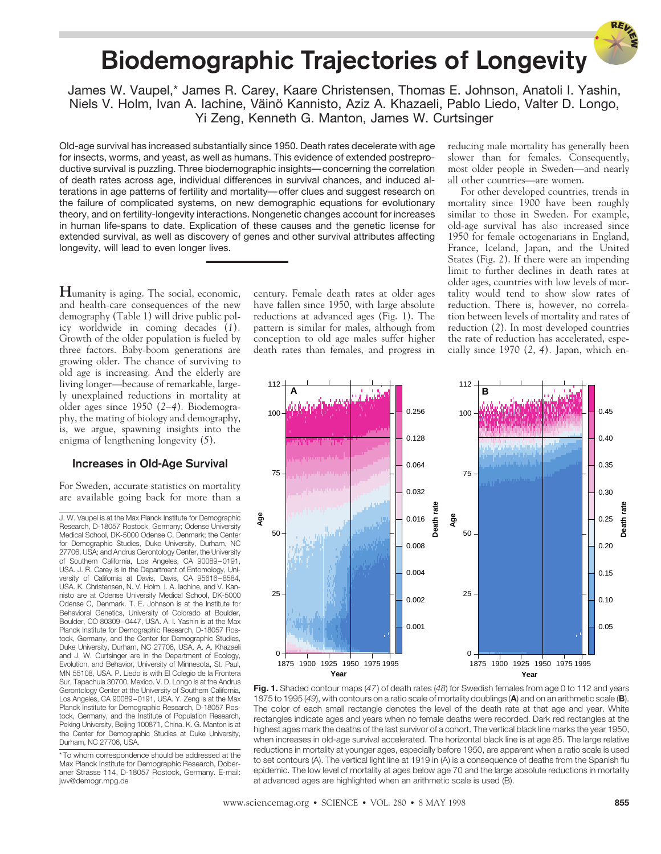## **Biodemographic Trajectories of Longevity**

James W. Vaupel,\* James R. Carey, Kaare Christensen, Thomas E. Johnson, Anatoli I. Yashin, Niels V. Holm, Ivan A. Iachine, Väinö Kannisto, Aziz A. Khazaeli, Pablo Liedo, Valter D. Longo, Yi Zeng, Kenneth G. Manton, James W. Curtsinger

Old-age survival has increased substantially since 1950. Death rates decelerate with age for insects, worms, and yeast, as well as humans. This evidence of extended postreproductive survival is puzzling. Three biodemographic insights—concerning the correlation of death rates across age, individual differences in survival chances, and induced alterations in age patterns of fertility and mortality—offer clues and suggest research on the failure of complicated systems, on new demographic equations for evolutionary theory, and on fertility-longevity interactions. Nongenetic changes account for increases in human life-spans to date. Explication of these causes and the genetic license for extended survival, as well as discovery of genes and other survival attributes affecting longevity, will lead to even longer lives.

**H**umanity is aging. The social, economic, and health-care consequences of the new demography (Table 1) will drive public policy worldwide in coming decades (*1*)*.* Growth of the older population is fueled by three factors. Baby-boom generations are growing older. The chance of surviving to old age is increasing. And the elderly are living longer—because of remarkable, largely unexplained reductions in mortality at older ages since 1950 (*2–4*). Biodemography, the mating of biology and demography, is, we argue, spawning insights into the enigma of lengthening longevity (*5*).

#### **Increases in Old-Age Survival**

For Sweden, accurate statistics on mortality are available going back for more than a

J. W. Vaupel is at the Max Planck Institute for Demographic Research, D-18057 Rostock, Germany; Odense University Medical School, DK-5000 Odense C, Denmark; the Center for Demographic Studies, Duke University, Durham, NC 27706, USA; and Andrus Gerontology Center, the University of Southern California, Los Angeles, CA 90089–0191, USA. J. R. Carey is in the Department of Entomology, University of California at Davis, Davis, CA 95616–8584, USA. K. Christensen, N. V. Holm, I. A. Iachine, and V. Kannisto are at Odense University Medical School, DK-5000 Odense C, Denmark. T. E. Johnson is at the Institute for Behavioral Genetics, University of Colorado at Boulder, Boulder, CO 80309–0447, USA. A. I. Yashin is at the Max Planck Institute for Demographic Research, D-18057 Rostock, Germany, and the Center for Demographic Studies, Duke University, Durham, NC 27706, USA. A. A. Khazaeli and J. W. Curtsinger are in the Department of Ecology, Evolution, and Behavior, University of Minnesota, St. Paul, MN 55108, USA. P. Liedo is with El Colegio de la Frontera Sur, Tapachula 30700, Mexico. V. D. Longo is at the Andrus Gerontology Center at the University of Southern California, Los Angeles, CA 90089–0191, USA. Y. Zeng is at the Max Planck Institute for Demographic Research, D-18057 Rostock, Germany, and the Institute of Population Research, Peking University, Beijing 100871, China. K. G. Manton is at the Center for Demographic Studies at Duke University, Durham, NC 27706, USA.

century. Female death rates at older ages have fallen since 1950, with large absolute reductions at advanced ages (Fig. 1). The pattern is similar for males, although from conception to old age males suffer higher death rates than females, and progress in reducing male mortality has generally been slower than for females. Consequently, most older people in Sweden—and nearly all other countries—are women.

For other developed countries, trends in mortality since 1900 have been roughly similar to those in Sweden. For example, old-age survival has also increased since 1950 for female octogenarians in England, France, Iceland, Japan, and the United States (Fig. 2). If there were an impending limit to further declines in death rates at older ages, countries with low levels of mortality would tend to show slow rates of reduction. There is, however, no correlation between levels of mortality and rates of reduction (*2*). In most developed countries the rate of reduction has accelerated, especially since 1970 (*2*, *4*)*.* Japan, which en-





<sup>\*</sup>To whom correspondence should be addressed at the Max Planck Institute for Demographic Research, Doberaner Strasse 114, D-18057 Rostock, Germany. E-mail: jwv@demogr.mpg.de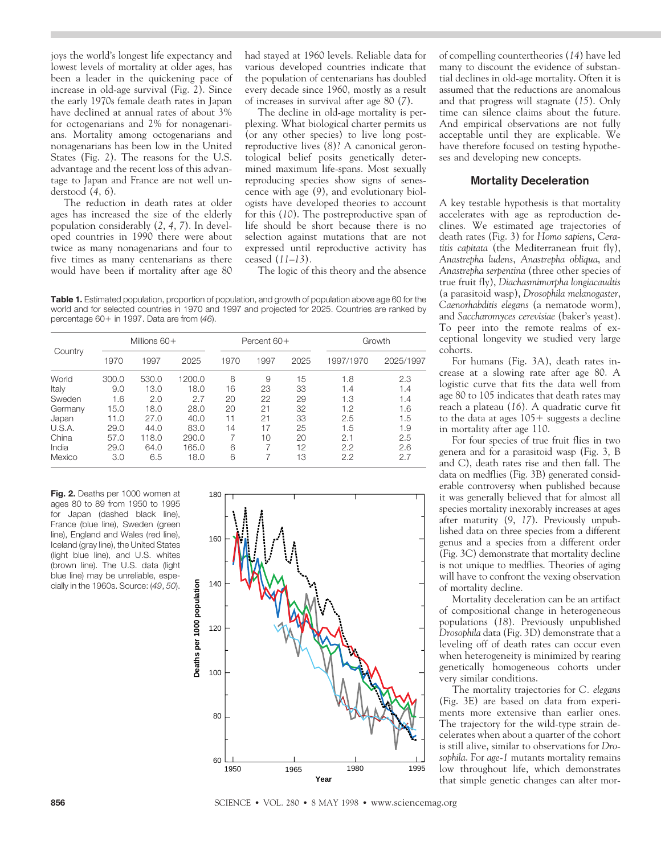joys the world's longest life expectancy and lowest levels of mortality at older ages, has been a leader in the quickening pace of increase in old-age survival (Fig. 2). Since the early 1970s female death rates in Japan have declined at annual rates of about 3% for octogenarians and 2% for nonagenarians. Mortality among octogenarians and nonagenarians has been low in the United States (Fig. 2). The reasons for the U.S. advantage and the recent loss of this advantage to Japan and France are not well understood (*4*, *6*).

The reduction in death rates at older ages has increased the size of the elderly population considerably (*2*, *4*, *7*). In developed countries in 1990 there were about twice as many nonagenarians and four to five times as many centenarians as there would have been if mortality after age 80 had stayed at 1960 levels. Reliable data for various developed countries indicate that the population of centenarians has doubled every decade since 1960, mostly as a result of increases in survival after age 80 (*7*).

The decline in old-age mortality is perplexing. What biological charter permits us (or any other species) to live long postreproductive lives (*8*)? A canonical gerontological belief posits genetically determined maximum life-spans. Most sexually reproducing species show signs of senescence with age (*9*), and evolutionary biologists have developed theories to account for this (*10*). The postreproductive span of life should be short because there is no selection against mutations that are not expressed until reproductive activity has ceased (*11*–*13*)*.*

The logic of this theory and the absence

**Table 1.** Estimated population, proportion of population, and growth of population above age 60 for the world and for selected countries in 1970 and 1997 and projected for 2025. Countries are ranked by percentage 60+ in 1997. Data are from (46).

| Country | Millions $60+$ |       |        | Percent $60+$ |      |      | Growth    |           |
|---------|----------------|-------|--------|---------------|------|------|-----------|-----------|
|         | 1970           | 1997  | 2025   | 1970          | 1997 | 2025 | 1997/1970 | 2025/1997 |
| World   | 300.0          | 530.0 | 1200.0 | 8             | 9    | 15   | 1.8       | 2.3       |
| Italy   | 9.0            | 13.0  | 18.0   | 16            | 23   | 33   | 1.4       | 1.4       |
| Sweden  | 1.6            | 2.0   | 2.7    | 20            | 22   | 29   | 1.3       | 1.4       |
| Germany | 15.0           | 18.0  | 28.0   | 20            | 21   | 32   | 1.2       | 1.6       |
| Japan   | 11.0           | 27.0  | 40.0   | 11            | 21   | 33   | 2.5       | 1.5       |
| U.S.A.  | 29.0           | 44.0  | 83.0   | 14            | 17   | 25   | 1.5       | 1.9       |
| China   | 57.0           | 118.0 | 290.0  | 7             | 10   | 20   | 2.1       | 2.5       |
| India   | 29.0           | 64.0  | 165.0  | 6             |      | 12   | 2.2       | 2.6       |
| Mexico  | 3.0            | 6.5   | 18.0   | 6             |      | 13   | 2.2       | 2.7       |

**Fig. 2.** Deaths per 1000 women at ages 80 to 89 from 1950 to 1995 for Japan (dashed black line), France (blue line), Sweden (green line), England and Wales (red line), Iceland (gray line), the United States (light blue line), and U.S. whites (brown line). The U.S. data (light blue line) may be unreliable, especially in the 1960s. Source: (*49*, *50*).



of compelling countertheories (*14*) have led many to discount the evidence of substantial declines in old-age mortality. Often it is assumed that the reductions are anomalous and that progress will stagnate (*15*). Only time can silence claims about the future. And empirical observations are not fully acceptable until they are explicable. We have therefore focused on testing hypotheses and developing new concepts.

#### **Mortality Deceleration**

A key testable hypothesis is that mortality accelerates with age as reproduction declines. We estimated age trajectories of death rates (Fig. 3) for *Homo sapiens*, *Ceratitis capitata* (the Mediterranean fruit fly), *Anastrepha ludens*, *Anastrepha obliqua*, and *Anastrepha serpentina* (three other species of true fruit fly), *Diachasmimorpha longiacaudtis* (a parasitoid wasp), *Drosophila melanogaster*, *Caenorhabditis elegans* (a nematode worm), and *Saccharomyces cerevisiae* (baker's yeast). To peer into the remote realms of exceptional longevity we studied very large cohorts.

For humans (Fig. 3A), death rates increase at a slowing rate after age 80. A logistic curve that fits the data well from age 80 to 105 indicates that death rates may reach a plateau (*16*). A quadratic curve fit to the data at ages  $105+$  suggests a decline in mortality after age 110.

For four species of true fruit flies in two genera and for a parasitoid wasp (Fig. 3, B and C), death rates rise and then fall. The data on medflies (Fig. 3B) generated considerable controversy when published because it was generally believed that for almost all species mortality inexorably increases at ages after maturity (*9*, *17*). Previously unpublished data on three species from a different genus and a species from a different order (Fig. 3C) demonstrate that mortality decline is not unique to medflies. Theories of aging will have to confront the vexing observation of mortality decline.

Mortality deceleration can be an artifact of compositional change in heterogeneous populations (*18*). Previously unpublished *Drosophila* data (Fig. 3D) demonstrate that a leveling off of death rates can occur even when heterogeneity is minimized by rearing genetically homogeneous cohorts under very similar conditions.

The mortality trajectories for *C. elegans* (Fig. 3E) are based on data from experiments more extensive than earlier ones. The trajectory for the wild-type strain decelerates when about a quarter of the cohort is still alive, similar to observations for *Drosophila*. For *age-1* mutants mortality remains low throughout life, which demonstrates **Year** that simple genetic changes can alter mor-

**856 SCIENCE •** VOL. 280 • 8 MAY 1998 • www.sciencemag.org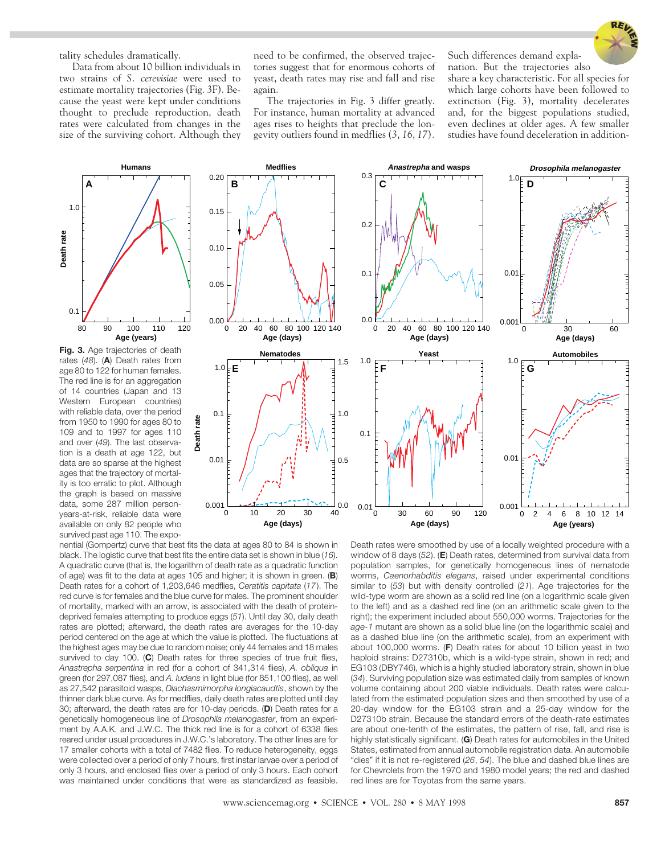

tality schedules dramatically.

Data from about 10 billion individuals in two strains of *S. cerevisiae* were used to estimate mortality trajectories (Fig. 3F). Because the yeast were kept under conditions thought to preclude reproduction, death rates were calculated from changes in the size of the surviving cohort. Although they need to be confirmed, the observed trajectories suggest that for enormous cohorts of yeast, death rates may rise and fall and rise again.

The trajectories in Fig. 3 differ greatly. For instance, human mortality at advanced ages rises to heights that preclude the longevity outliers found in medflies (*3*, *16*, *17*)*.*

Such differences demand explanation. But the trajectories also

share a key characteristic. For all species for which large cohorts have been followed to extinction (Fig. 3), mortality decelerates and, for the biggest populations studied, even declines at older ages. A few smaller studies have found deceleration in addition-



**Fig. 3.** Age trajectories of death rates (*48*). (**A**) Death rates from age 80 to 122 for human females. The red line is for an aggregation of 14 countries (Japan and 13 Western European countries) with reliable data, over the period from 1950 to 1990 for ages 80 to 109 and to 1997 for ages 110 and over (*49*). The last observation is a death at age 122, but data are so sparse at the highest ages that the trajectory of mortality is too erratic to plot. Although the graph is based on massive data, some 287 million personyears-at-risk, reliable data were available on only 82 people who survived past age 110. The expo-



nential (Gompertz) curve that best fits the data at ages 80 to 84 is shown in black. The logistic curve that best fits the entire data set is shown in blue (*16*). A quadratic curve (that is, the logarithm of death rate as a quadratic function of age) was fit to the data at ages 105 and higher; it is shown in green. (**B**) Death rates for a cohort of 1,203,646 medflies, *Ceratitis capitata* (*17*). The red curve is for females and the blue curve for males. The prominent shoulder of mortality, marked with an arrow, is associated with the death of proteindeprived females attempting to produce eggs (*51*). Until day 30, daily death rates are plotted; afterward, the death rates are averages for the 10-day period centered on the age at which the value is plotted. The fluctuations at the highest ages may be due to random noise; only 44 females and 18 males survived to day 100. (**C**) Death rates for three species of true fruit flies, *Anastrepha serpentina* in red (for a cohort of 341,314 flies), *A. obliqua* in green (for 297,087 flies), and *A. ludens* in light blue (for 851,100 flies), as well as 27,542 parasitoid wasps, *Diachasmimorpha longiacaudtis*, shown by the thinner dark blue curve. As for medflies, daily death rates are plotted until day 30; afterward, the death rates are for 10-day periods. (**D**) Death rates for a genetically homogeneous line of *Drosophila melanogaster*, from an experiment by A.A.K. and J.W.C. The thick red line is for a cohort of 6338 flies reared under usual procedures in J.W.C.'s laboratory. The other lines are for 17 smaller cohorts with a total of 7482 flies. To reduce heterogeneity, eggs were collected over a period of only 7 hours, first instar larvae over a period of only 3 hours, and enclosed flies over a period of only 3 hours. Each cohort was maintained under conditions that were as standardized as feasible.

Death rates were smoothed by use of a locally weighted procedure with a window of 8 days (*52*). (**E**) Death rates, determined from survival data from population samples, for genetically homogeneous lines of nematode worms, *Caenorhabditis elegans*, raised under experimental conditions similar to (*53*) but with density controlled (*21*). Age trajectories for the wild-type worm are shown as a solid red line (on a logarithmic scale given to the left) and as a dashed red line (on an arithmetic scale given to the right); the experiment included about 550,000 worms. Trajectories for the *age-1* mutant are shown as a solid blue line (on the logarithmic scale) and as a dashed blue line (on the arithmetic scale), from an experiment with about 100,000 worms. (**F**) Death rates for about 10 billion yeast in two haploid strains: D27310b, which is a wild-type strain, shown in red; and EG103 (DBY746), which is a highly studied laboratory strain, shown in blue (*34*). Surviving population size was estimated daily from samples of known volume containing about 200 viable individuals. Death rates were calculated from the estimated population sizes and then smoothed by use of a 20-day window for the EG103 strain and a 25-day window for the D27310b strain. Because the standard errors of the death-rate estimates are about one-tenth of the estimates, the pattern of rise, fall, and rise is highly statistically significant. (**G**) Death rates for automobiles in the United States, estimated from annual automobile registration data. An automobile "dies" if it is not re-registered (*26*, *54*). The blue and dashed blue lines are for Chevrolets from the 1970 and 1980 model years; the red and dashed red lines are for Toyotas from the same years.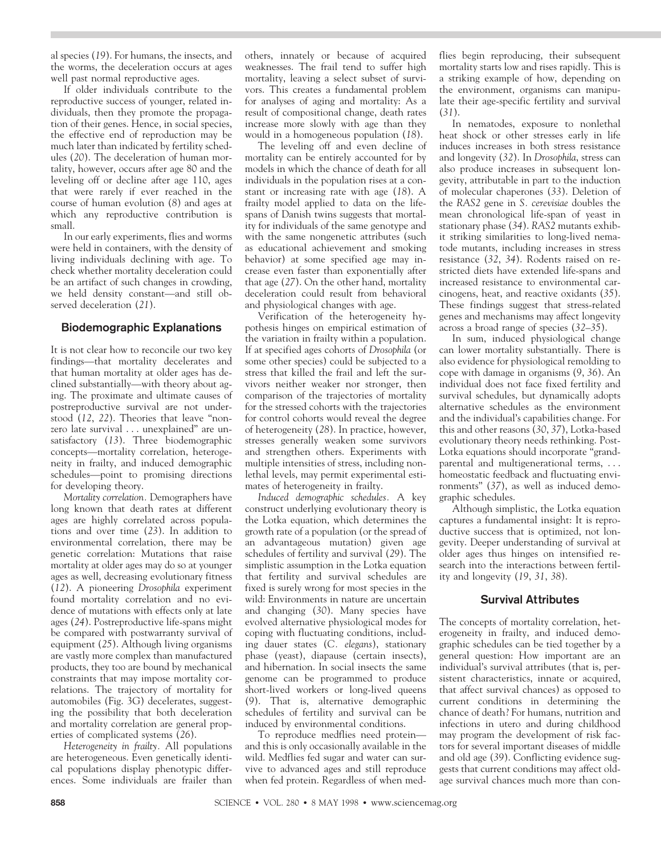al species (*19*). For humans, the insects, and the worms, the deceleration occurs at ages well past normal reproductive ages.

If older individuals contribute to the reproductive success of younger, related individuals, then they promote the propagation of their genes. Hence, in social species, the effective end of reproduction may be much later than indicated by fertility schedules (*20*). The deceleration of human mortality, however, occurs after age 80 and the leveling off or decline after age 110, ages that were rarely if ever reached in the course of human evolution (*8*) and ages at which any reproductive contribution is small.

In our early experiments, flies and worms were held in containers, with the density of living individuals declining with age. To check whether mortality deceleration could be an artifact of such changes in crowding, we held density constant—and still observed deceleration (*21*).

#### **Biodemographic Explanations**

It is not clear how to reconcile our two key findings—that mortality decelerates and that human mortality at older ages has declined substantially—with theory about aging. The proximate and ultimate causes of postreproductive survival are not understood (*12*, *22*). Theories that leave "nonzero late survival . . . unexplained" are unsatisfactory (*13*). Three biodemographic concepts—mortality correlation, heterogeneity in frailty, and induced demographic schedules—point to promising directions for developing theory.

*Mortality correlation.* Demographers have long known that death rates at different ages are highly correlated across populations and over time (*23*). In addition to environmental correlation, there may be genetic correlation: Mutations that raise mortality at older ages may do so at younger ages as well, decreasing evolutionary fitness (*12*). A pioneering *Drosophila* experiment found mortality correlation and no evidence of mutations with effects only at late ages (*24*). Postreproductive life-spans might be compared with postwarranty survival of equipment (*25*). Although living organisms are vastly more complex than manufactured products, they too are bound by mechanical constraints that may impose mortality correlations. The trajectory of mortality for automobiles (Fig. 3G) decelerates, suggesting the possibility that both deceleration and mortality correlation are general properties of complicated systems (*26*).

*Heterogeneity in frailty.* All populations are heterogeneous. Even genetically identical populations display phenotypic differences. Some individuals are frailer than others, innately or because of acquired weaknesses. The frail tend to suffer high mortality, leaving a select subset of survivors. This creates a fundamental problem for analyses of aging and mortality: As a result of compositional change, death rates increase more slowly with age than they would in a homogeneous population (*18*).

The leveling off and even decline of mortality can be entirely accounted for by models in which the chance of death for all individuals in the population rises at a constant or increasing rate with age (*18*). A frailty model applied to data on the lifespans of Danish twins suggests that mortality for individuals of the same genotype and with the same nongenetic attributes (such as educational achievement and smoking behavior) at some specified age may increase even faster than exponentially after that age (*27*). On the other hand, mortality deceleration could result from behavioral and physiological changes with age.

Verification of the heterogeneity hypothesis hinges on empirical estimation of the variation in frailty within a population. If at specified ages cohorts of *Drosophila* (or some other species) could be subjected to a stress that killed the frail and left the survivors neither weaker nor stronger, then comparison of the trajectories of mortality for the stressed cohorts with the trajectories for control cohorts would reveal the degree of heterogeneity (*28*). In practice, however, stresses generally weaken some survivors and strengthen others. Experiments with multiple intensities of stress, including nonlethal levels, may permit experimental estimates of heterogeneity in frailty.

*Induced demographic schedules.* A key construct underlying evolutionary theory is the Lotka equation, which determines the growth rate of a population (or the spread of an advantageous mutation) given age schedules of fertility and survival (*29*). The simplistic assumption in the Lotka equation that fertility and survival schedules are fixed is surely wrong for most species in the wild: Environments in nature are uncertain and changing (*30*). Many species have evolved alternative physiological modes for coping with fluctuating conditions, including dauer states (*C. elegans*), stationary phase (yeast), diapause (certain insects), and hibernation. In social insects the same genome can be programmed to produce short-lived workers or long-lived queens (*9*). That is, alternative demographic schedules of fertility and survival can be induced by environmental conditions.

To reproduce medflies need protein and this is only occasionally available in the wild. Medflies fed sugar and water can survive to advanced ages and still reproduce when fed protein. Regardless of when medflies begin reproducing, their subsequent mortality starts low and rises rapidly. This is a striking example of how, depending on the environment, organisms can manipulate their age-specific fertility and survival (*31*).

In nematodes, exposure to nonlethal heat shock or other stresses early in life induces increases in both stress resistance and longevity (*32*). In *Drosophila*, stress can also produce increases in subsequent longevity, attributable in part to the induction of molecular chaperones (*33*). Deletion of the *RAS2* gene in *S. cerevisiae* doubles the mean chronological life-span of yeast in stationary phase (*34*). *RAS2* mutants exhibit striking similarities to long-lived nematode mutants, including increases in stress resistance (*32*, *34*). Rodents raised on restricted diets have extended life-spans and increased resistance to environmental carcinogens, heat, and reactive oxidants (*35*). These findings suggest that stress-related genes and mechanisms may affect longevity across a broad range of species (*32–35*).

In sum, induced physiological change can lower mortality substantially. There is also evidence for physiological remolding to cope with damage in organisms (*9*, *36*). An individual does not face fixed fertility and survival schedules, but dynamically adopts alternative schedules as the environment and the individual's capabilities change. For this and other reasons (*30*, *37*), Lotka-based evolutionary theory needs rethinking. Post-Lotka equations should incorporate "grandparental and multigenerational terms, . . . homeostatic feedback and fluctuating environments" (*37*), as well as induced demographic schedules.

Although simplistic, the Lotka equation captures a fundamental insight: It is reproductive success that is optimized, not longevity. Deeper understanding of survival at older ages thus hinges on intensified research into the interactions between fertility and longevity (*19*, *31*, *38*).

#### **Survival Attributes**

The concepts of mortality correlation, heterogeneity in frailty, and induced demographic schedules can be tied together by a general question: How important are an individual's survival attributes (that is, persistent characteristics, innate or acquired, that affect survival chances) as opposed to current conditions in determining the chance of death? For humans, nutrition and infections in utero and during childhood may program the development of risk factors for several important diseases of middle and old age (*39*). Conflicting evidence suggests that current conditions may affect oldage survival chances much more than con-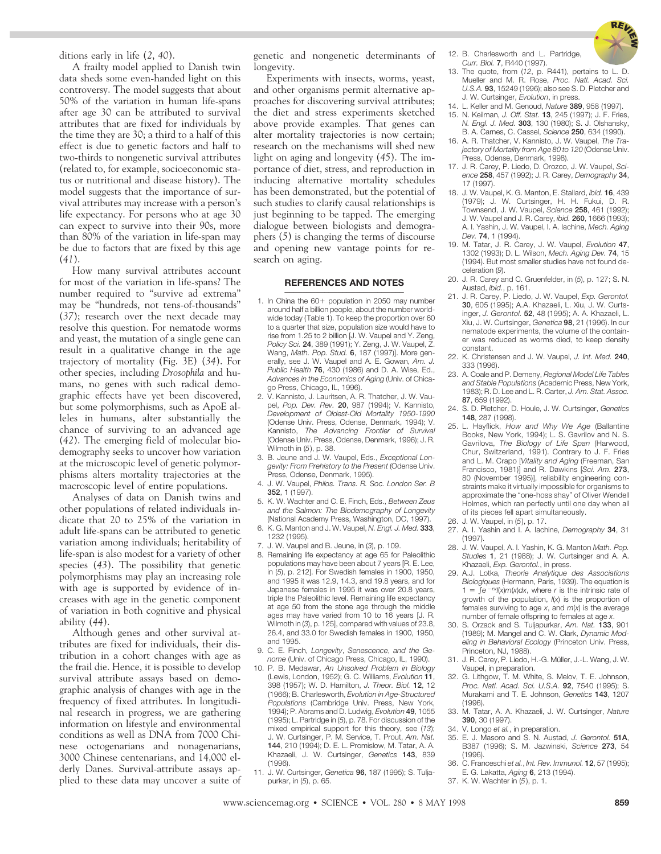

ditions early in life (*2*, *40*).

A frailty model applied to Danish twin data sheds some even-handed light on this controversy. The model suggests that about 50% of the variation in human life-spans after age 30 can be attributed to survival attributes that are fixed for individuals by the time they are 30; a third to a half of this effect is due to genetic factors and half to two-thirds to nongenetic survival attributes (related to, for example, socioeconomic status or nutritional and disease history). The model suggests that the importance of survival attributes may increase with a person's life expectancy. For persons who at age 30 can expect to survive into their 90s, more than 80% of the variation in life-span may be due to factors that are fixed by this age (*41*).

How many survival attributes account for most of the variation in life-spans? The number required to "survive ad extrema" may be "hundreds, not tens-of-thousands" (*37*); research over the next decade may resolve this question. For nematode worms and yeast, the mutation of a single gene can result in a qualitative change in the age trajectory of mortality (Fig. 3E) (*34*). For other species, including *Drosophila* and humans, no genes with such radical demographic effects have yet been discovered, but some polymorphisms, such as ApoE alleles in humans, alter substantially the chance of surviving to an advanced age (*42*). The emerging field of molecular biodemography seeks to uncover how variation at the microscopic level of genetic polymorphisms alters mortality trajectories at the macroscopic level of entire populations.

Analyses of data on Danish twins and other populations of related individuals indicate that 20 to 25% of the variation in adult life-spans can be attributed to genetic variation among individuals; heritability of life-span is also modest for a variety of other species (*43*). The possibility that genetic polymorphisms may play an increasing role with age is supported by evidence of increases with age in the genetic component of variation in both cognitive and physical ability (*44*).

Although genes and other survival attributes are fixed for individuals, their distribution in a cohort changes with age as the frail die. Hence, it is possible to develop survival attribute assays based on demographic analysis of changes with age in the frequency of fixed attributes. In longitudinal research in progress, we are gathering information on lifestyle and environmental conditions as well as DNA from 7000 Chinese octogenarians and nonagenarians, 3000 Chinese centenarians, and 14,000 elderly Danes. Survival-attribute assays applied to these data may uncover a suite of genetic and nongenetic determinants of longevity.

Experiments with insects, worms, yeast, and other organisms permit alternative approaches for discovering survival attributes; the diet and stress experiments sketched above provide examples. That genes can alter mortality trajectories is now certain; research on the mechanisms will shed new light on aging and longevity (*45*). The importance of diet, stress, and reproduction in inducing alternative mortality schedules has been demonstrated, but the potential of such studies to clarify causal relationships is just beginning to be tapped. The emerging dialogue between biologists and demographers (*5*) is changing the terms of discourse and opening new vantage points for research on aging.

#### **REFERENCES AND NOTES \_\_\_\_\_\_\_\_\_\_\_\_\_\_\_\_\_\_\_\_\_\_\_\_\_\_\_**

- 1. In China the 60+ population in 2050 may number around half a billion people, about the number worldwide today (Table 1). To keep the proportion over 60 to a quarter that size, population size would have to rise from 1.25 to 2 billion [J. W. Vaupel and Y. Zeng, *Policy Sci.* **24**, 389 (1991); Y. Zeng, J. W. Vaupel, Z. Wang, *Math. Pop. Stud.* **6**, 187 (1997)]. More generally, see J. W. Vaupel and A. E. Gowan, *Am. J. Public Health* **76**, 430 (1986) and D. A. Wise, Ed., *Advances in the Economics of Aging* (Univ. of Chicago Press, Chicago, IL, 1996).
- 2. V. Kannisto, J. Lauritsen, A. R. Thatcher, J. W. Vaupel, *Pop. Dev. Rev.* **20**, 987 (1994); V. Kannisto, *Development of Oldest-Old Mortality 1950-1990* (Odense Univ. Press, Odense, Denmark, 1994); V. Kannisto, *The Advancing Frontier of Survival* (Odense Univ. Press, Odense, Denmark, 1996); J. R. Wilmoth in (*5*), p. 38.
- 3. B. Jeune and J. W. Vaupel, Eds., *Exceptional Longevity: From Prehistory to the Present* (Odense Univ. Press, Odense, Denmark, 1995).
- 4. J. W. Vaupel, *Philos. Trans. R. Soc. London Ser. B* **352**, 1 (1997).
- 5. K. W. Wachter and C. E. Finch, Eds., *Between Zeus and the Salmon: The Biodemography of Longevity* (National Academy Press, Washington, DC, 1997).
- 6. K. G. Manton and J. W. Vaupel, *N. Engl. J. Med.* **333**, 1232 (1995).
- 7. J. W. Vaupel and B. Jeune, in (*3*), p. 109.
- 8. Remaining life expectancy at age 65 for Paleolithic populations may have been about 7 years [R. E. Lee, in (*5*), p. 212]. For Swedish females in 1900, 1950, and 1995 it was 12.9, 14.3, and 19.8 years, and for Japanese females in 1995 it was over 20.8 years, triple the Paleolithic level. Remaining life expectancy at age 50 from the stone age through the middle ages may have varied from 10 to 16 years [J. R. Wilmoth in (*3*), p. 125], compared with values of 23.8, 26.4, and 33.0 for Swedish females in 1900, 1950, and 1995.
- 9. C. E. Finch, *Longevity*, *Senescence*, *and the Genome* (Univ. of Chicago Press, Chicago, IL, 1990).
- 10. P. B. Medawar, *An Unsolved Problem in Biology* (Lewis, London, 1952); G. C. Williams, *Evolution* **11**, 398 (1957); W. D. Hamilton, *J. Theor. Biol.* **12**, 12 (1966); B. Charlesworth, *Evolution in Age-Structured Populations* (Cambridge Univ. Press, New York, 1994); P. Abrams and D. Ludwig, *Evolution* **49**, 1055 (1995); L. Partridge in (*5*), p. 78. For discussion of the mixed empirical support for this theory, see (*13*); J. W. Curtsinger, P. M. Service, T. Prout, *Am. Nat.* **144**, 210 (1994); D. E. L. Promislow, M. Tatar, A. A. Khazaeli, J. W. Curtsinger, *Genetics* **143**, 839 (1996).
- 11. J. W. Curtsinger, *Genetica* **96**, 187 (1995); S. Tuljapurkar, in (*5*), p. 65.
- 12. B. Charlesworth and L. Partridge, *Curr. Biol.* **7**, R440 (1997).
- 13. The quote, from (*12*, p. R441), pertains to L. D. Mueller and M. R. Rose, *Proc. Natl. Acad. Sci. U.S.A.* **93**, 15249 (1996); also see S. D. Pletcher and J. W. Curtsinger, *Evolution*, in press.
- 14. L. Keller and M. Genoud, *Nature* **389**, 958 (1997).
- 15. N. Keilman, *J. Off. Stat.* **13**, 245 (1997); J. F. Fries, *N. Engl. J. Med.* **303**, 130 (1980); S. J. Olshansky, B. A. Carnes, C. Cassel, *Science* **250**, 634 (1990).
- 16. A. R. Thatcher, V. Kannisto, J. W. Vaupel, *The Trajectory of Mortality from Age 80 to 120* (Odense Univ. Press, Odense, Denmark, 1998).
- 17. J. R. Carey, P. Liedo, D. Orozco, J. W. Vaupel, *Science* **258**, 457 (1992); J. R. Carey, *Demography* **34**, 17 (1997).
- 18. J. W. Vaupel, K. G. Manton, E. Stallard, *ibid.* **16**, 439 (1979); J. W. Curtsinger, H. H. Fukui, D. R. Townsend, J. W. Vaupel, *Science* **258**, 461 (1992); J. W. Vaupel and J. R. Carey, *ibid.* **260**, 1666 (1993); A. I. Yashin, J. W. Vaupel, I. A. Iachine, *Mech. Aging Dev.* **74**, 1 (1994).
- 19. M. Tatar, J. R. Carey, J. W. Vaupel, *Evolution* **47**, 1302 (1993); D. L. Wilson, *Mech. Aging Dev.* **74**, 15 (1994). But most smaller studies have not found deceleration (*9*).
- 20. J. R. Carey and C. Gruenfelder, in (*5*), p. 127; S. N. Austad, *ibid.*, p. 161.
- 21. J. R. Carey, P. Liedo, J. W. Vaupel, *Exp. Gerontol.* **30**, 605 (1995); A.A. Khazaeli, L. Xiu, J. W. Curtsinger, *J. Gerontol.* **52**, 48 (1995); A. A. Khazaeli, L. Xiu, J. W. Curtsinger, *Genetica* **98**, 21 (1996). In our nematode experiments, the volume of the container was reduced as worms died, to keep density constant.
- 22. K. Christensen and J. W. Vaupel, *J. Int. Med.* **240**, 333 (1996).
- 23. A. Coale and P. Demeny, *Regional Model Life Tables and Stable Populations* (Academic Press, New York, 1983); R. D. Lee and L. R. Carter, *J. Am. Stat. Assoc.* **87**, 659 (1992).
- 24. S. D. Pletcher, D. Houle, J. W. Curtsinger, *Genetics* **148**, 287 (1998).
- 25. L. Hayflick, *How and Why We Age* (Ballantine Books, New York, 1994); L. S. Gavrilov and N. S. Gavrilova, *The Biology of Life Span* (Harwood, Chur, Switzerland, 1991). Contrary to J. F. Fries and L. M. Crapo [*Vitality and Aging* (Freeman, San Francisco, 1981)] and R. Dawkins [*Sci. Am.* **273**, 80 (November 1995)], reliability engineering constraints make it virtually impossible for organisms to approximate the "one-hoss shay" of Oliver Wendell Holmes, which ran perfectly until one day when all of its pieces fell apart simultaneously.
- 26. J. W. Vaupel, in (*5*), p. 17.
- 27. A. I. Yashin and I. A. Iachine, *Demography* **34**, 31 (1997).
- 28. J. W. Vaupel, A. I. Yashin, K. G. Manton *Math. Pop. Studies* **1**, 21 (1988); J. W. Curtsinger and A. A. Khazaeli, *Exp. Gerontol.*, in press.
- 29. A.J. Lotka, *Theorie Analytique des Associations Biologiques* (Hermann, Paris, 1939). The equation is  $1 = \int e^{-rx} f(x) m(x) dx$ , where *r* is the intrinsic rate of growth of the population, *l*(*x*) is the proportion of females surviving to age *x*, and *m*(*x*) is the average number of female offspring to females at age *x*.
- 30. S. Orzack and S. Tuljapurkar, *Am. Nat.* **133**, 901 (1989); M. Mangel and C. W. Clark, *Dynamic Modeling in Behavioral Ecology* (Princeton Univ. Press, Princeton, NJ, 1988).
- 31. J. R. Carey, P. Liedo, H.-G. Müller, J.-L. Wang, J. W. Vaupel, in preparation.
- 32. G. Lithgow, T. M. White, S. Melov, T. E. Johnson, *Proc. Natl. Acad. Sci. U.S.A.* **92**, 7540 (1995); S. Murakami and T. E. Johnson, *Genetics* **143**, 1207 (1996).
- 33. M. Tatar, A. A. Khazaeli, J. W. Curtsinger, *Nature* **390**, 30 (1997).
- 34. V. Longo *et al.*, in preparation.
- 35. E. J. Masoro and S. N. Austad, *J. Gerontol.* **51A**, B387 (1996); S. M. Jazwinski, *Science* **273**, 54 (1996).
- 36. C. Franceschi *et al.*, *Int. Rev. Immunol.* **12**, 57 (1995);
- E. G. Lakatta, *Aging* **6**, 213 (1994).
- 37. K. W. Wachter in (*5*), p. 1.